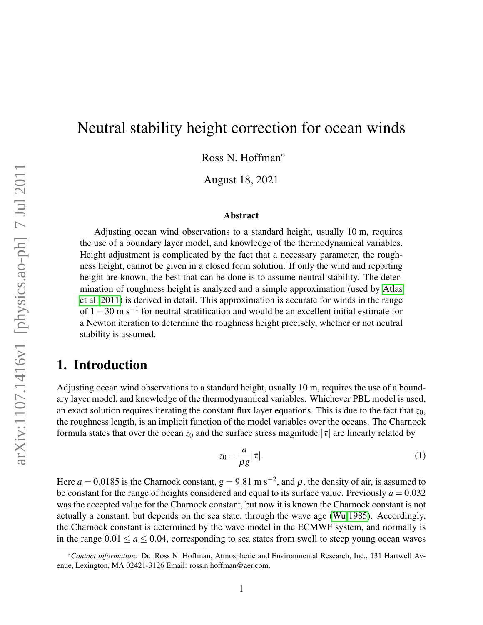# Neutral stability height correction for ocean winds

Ross N. Hoffman<sup>∗</sup>

August 18, 2021

#### Abstract

Adjusting ocean wind observations to a standard height, usually 10 m, requires the use of a boundary layer model, and knowledge of the thermodynamical variables. Height adjustment is complicated by the fact that a necessary parameter, the roughness height, cannot be given in a closed form solution. If only the wind and reporting height are known, the best that can be done is to assume neutral stability. The determination of roughness height is analyzed and a simple approximation (used by [Atlas](#page-5-0) [et al. 2011\)](#page-5-0) is derived in detail. This approximation is accurate for winds in the range of  $1-30$  m s<sup>-1</sup> for neutral stratification and would be an excellent initial estimate for a Newton iteration to determine the roughness height precisely, whether or not neutral stability is assumed.

# 1. Introduction

Adjusting ocean wind observations to a standard height, usually 10 m, requires the use of a boundary layer model, and knowledge of the thermodynamical variables. Whichever PBL model is used, an exact solution requires iterating the constant flux layer equations. This is due to the fact that  $z_0$ , the roughness length, is an implicit function of the model variables over the oceans. The Charnock formula states that over the ocean  $z_0$  and the surface stress magnitude  $|\tau|$  are linearly related by

<span id="page-0-0"></span>
$$
z_0 = \frac{a}{\rho g} |\tau|.
$$
 (1)

Here  $a = 0.0185$  is the Charnock constant,  $g = 9.81$  m s<sup>-2</sup>, and  $\rho$ , the density of air, is assumed to be constant for the range of heights considered and equal to its surface value. Previously  $a = 0.032$ was the accepted value for the Charnock constant, but now it is known the Charnock constant is not actually a constant, but depends on the sea state, through the wave age [\(Wu 1985\)](#page-5-1). Accordingly, the Charnock constant is determined by the wave model in the ECMWF system, and normally is in the range  $0.01 \le a \le 0.04$ , corresponding to sea states from swell to steep young ocean waves

<sup>∗</sup>*Contact information:* Dr. Ross N. Hoffman, Atmospheric and Environmental Research, Inc., 131 Hartwell Avenue, Lexington, MA 02421-3126 Email: ross.n.hoffman@aer.com.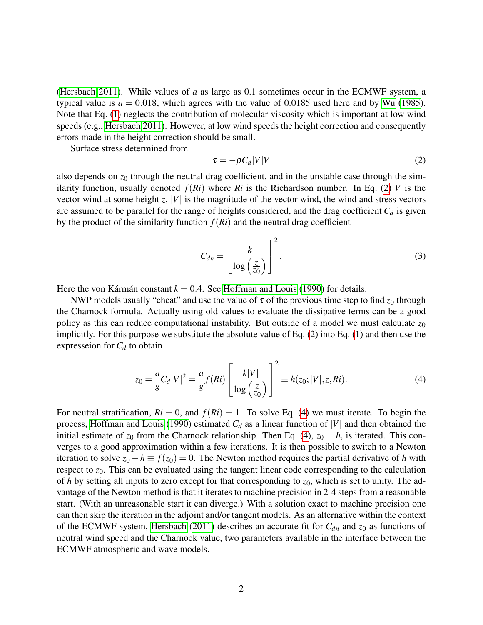[\(Hersbach 2011\)](#page-5-2). While values of *a* as large as 0.1 sometimes occur in the ECMWF system, a typical value is  $a = 0.018$ , which agrees with the value of 0.0185 used here and by [Wu](#page-5-1) [\(1985\)](#page-5-1). Note that Eq. [\(1\)](#page-0-0) neglects the contribution of molecular viscosity which is important at low wind speeds (e.g., [Hersbach 2011\)](#page-5-2). However, at low wind speeds the height correction and consequently errors made in the height correction should be small.

Surface stress determined from

<span id="page-1-0"></span>
$$
\tau = -\rho C_d |V| V \tag{2}
$$

also depends on  $z_0$  through the neutral drag coefficient, and in the unstable case through the similarity function, usually denoted  $f(Ri)$  where  $Ri$  is the Richardson number. In Eq. [\(2\)](#page-1-0) V is the vector wind at some height *z*, |*V*| is the magnitude of the vector wind, the wind and stress vectors are assumed to be parallel for the range of heights considered, and the drag coefficient  $C_d$  is given by the product of the similarity function  $f(Ri)$  and the neutral drag coefficient

<span id="page-1-2"></span>
$$
C_{dn} = \left[\frac{k}{\log\left(\frac{z}{z_0}\right)}\right]^2.
$$
 (3)

Here the von Kármán constant  $k = 0.4$ . See [Hoffman and Louis](#page-5-3) [\(1990\)](#page-5-3) for details.

NWP models usually "cheat" and use the value of  $\tau$  of the previous time step to find  $z_0$  through the Charnock formula. Actually using old values to evaluate the dissipative terms can be a good policy as this can reduce computational instability. But outside of a model we must calculate  $z_0$ implicitly. For this purpose we substitute the absolute value of Eq. [\(2\)](#page-1-0) into Eq. [\(1\)](#page-0-0) and then use the expresseion for  $C_d$  to obtain

<span id="page-1-1"></span>
$$
z_0 = \frac{a}{g} C_d |V|^2 = \frac{a}{g} f(Ri) \left[ \frac{k|V|}{\log \left(\frac{z}{z_0}\right)} \right]^2 \equiv h(z_0; |V|, z, Ri). \tag{4}
$$

For neutral stratification,  $Ri = 0$ , and  $f(Ri) = 1$ . To solve Eq. [\(4\)](#page-1-1) we must iterate. To begin the process, [Hoffman and Louis](#page-5-3) [\(1990\)](#page-5-3) estimated  $C_d$  as a linear function of |*V*| and then obtained the initial estimate of  $z_0$  from the Charnock relationship. Then Eq. [\(4\)](#page-1-1),  $z_0 = h$ , is iterated. This converges to a good approximation within a few iterations. It is then possible to switch to a Newton iteration to solve  $z_0 - h \equiv f(z_0) = 0$ . The Newton method requires the partial derivative of *h* with respect to  $z_0$ . This can be evaluated using the tangent linear code corresponding to the calculation of *h* by setting all inputs to zero except for that corresponding to *z*0, which is set to unity. The advantage of the Newton method is that it iterates to machine precision in 2-4 steps from a reasonable start. (With an unreasonable start it can diverge.) With a solution exact to machine precision one can then skip the iteration in the adjoint and/or tangent models. As an alternative within the context of the ECMWF system, [Hersbach](#page-5-2) [\(2011\)](#page-5-2) describes an accurate fit for  $C_{dn}$  and  $z_0$  as functions of neutral wind speed and the Charnock value, two parameters available in the interface between the ECMWF atmospheric and wave models.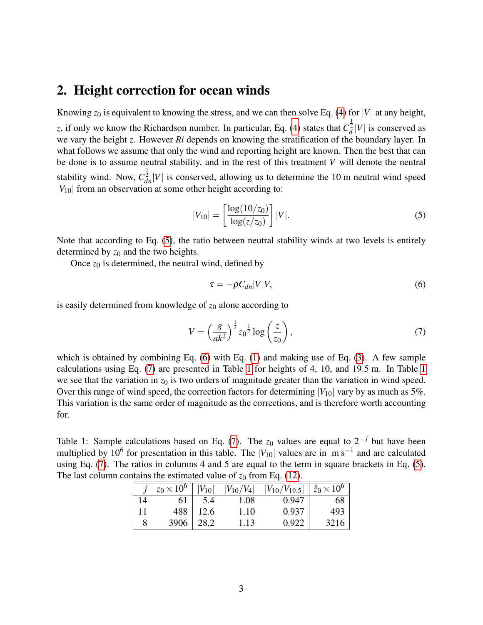#### 2. Height correction for ocean winds

Knowing  $z_0$  is equivalent to knowing the stress, and we can then solve Eq. [\(4\)](#page-1-1) for |*V*| at any height, *z*, if only we know the Richardson number. In particular, Eq. [\(4\)](#page-1-1) states that  $C_d^{\frac{1}{2}}|V|$  is conserved as we vary the height *z*. However *Ri* depends on knowing the stratification of the boundary layer. In what follows we assume that only the wind and reporting height are known. Then the best that can be done is to assume neutral stability, and in the rest of this treatment *V* will denote the neutral stability wind. Now,  $C_{dn}^{\frac{1}{2}}|V|$  is conserved, allowing us to determine the 10 m neutral wind speed  $|V_{10}|$  from an observation at some other height according to:

<span id="page-2-0"></span>
$$
|V_{10}| = \left[\frac{\log(10/z_0)}{\log(z/z_0)}\right]|V|.
$$
 (5)

Note that according to Eq. [\(5\)](#page-2-0), the ratio between neutral stability winds at two levels is entirely determined by  $z_0$  and the two heights.

Once  $z_0$  is determined, the neutral wind, defined by

<span id="page-2-1"></span>
$$
\tau = -\rho C_{dn}|V|V,\tag{6}
$$

is easily determined from knowledge of  $z_0$  alone according to

<span id="page-2-2"></span>
$$
V = \left(\frac{g}{ak^2}\right)^{\frac{1}{2}} z_0^{\frac{1}{2}} \log\left(\frac{z}{z_0}\right),\tag{7}
$$

which is obtained by combining Eq. [\(6\)](#page-2-1) with Eq. [\(1\)](#page-0-0) and making use of Eq. [\(3\)](#page-1-2). A few sample calculations using Eq. [\(7\)](#page-2-2) are presented in Table [1](#page-2-3) for heights of 4, 10, and 19.5 m. In Table [1](#page-2-3) we see that the variation in  $z_0$  is two orders of magnitude greater than the variation in wind speed. Over this range of wind speed, the correction factors for determining  $|V_{10}|$  vary by as much as 5%. This variation is the same order of magnitude as the corrections, and is therefore worth accounting for.

<span id="page-2-3"></span>Table 1: Sample calculations based on Eq. [\(7\)](#page-2-2). The  $z_0$  values are equal to  $2^{-j}$  but have been multiplied by 10<sup>6</sup> for presentation in this table. The  $|V_{10}|$  values are in m s<sup>-1</sup> and are calculated using Eq. [\(7\)](#page-2-2). The ratios in columns 4 and 5 are equal to the term in square brackets in Eq. [\(5\)](#page-2-0). The last column contains the estimated value of  $z_0$  from Eq. [\(12\)](#page-3-0).

|    | $z_0 \times 10^6$ | $ V_{10} $ | $ V_{10}/V_4 $ | $ V_{10}/V_{19.5} $ | $\hat{z}_0 \times 10^6$ |
|----|-------------------|------------|----------------|---------------------|-------------------------|
| 14 | 61                | 5.4        | 1.08           | 0.947               | ხŏ                      |
| 11 | 488               | 12.6       | 1.10           | 0.937               | 493                     |
|    | 3906              | 28.2       | 1.13           | 0.922               | 3216                    |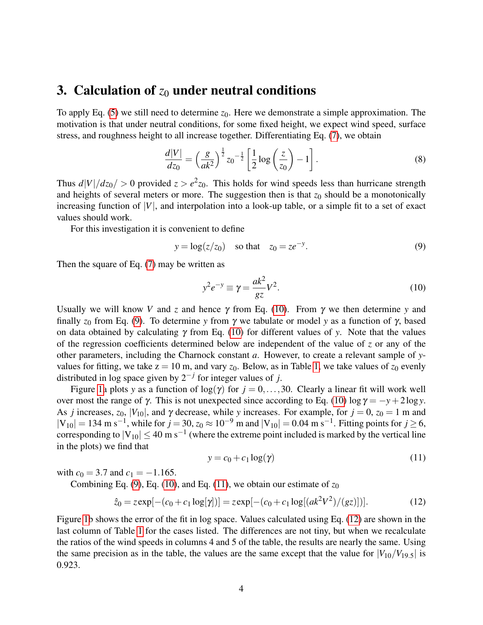### 3. Calculation of  $z_0$  under neutral conditions

To apply Eq. [\(5\)](#page-2-0) we still need to determine  $z_0$ . Here we demonstrate a simple approximation. The motivation is that under neutral conditions, for some fixed height, we expect wind speed, surface stress, and roughness height to all increase together. Differentiating Eq. [\(7\)](#page-2-2), we obtain

$$
\frac{d|V|}{dz_0} = \left(\frac{g}{ak^2}\right)^{\frac{1}{2}} z_0^{-\frac{1}{2}} \left[\frac{1}{2}\log\left(\frac{z}{z_0}\right) - 1\right].\tag{8}
$$

Thus  $d|V|/dz_0$  > 0 provided  $z > e^2z_0$ . This holds for wind speeds less than hurricane strength and heights of several meters or more. The suggestion then is that  $z_0$  should be a monotonically increasing function of  $|V|$ , and interpolation into a look-up table, or a simple fit to a set of exact values should work.

For this investigation it is convenient to define

<span id="page-3-2"></span>
$$
y = \log(z/z_0)
$$
 so that  $z_0 = ze^{-y}$ . (9)

Then the square of Eq. [\(7\)](#page-2-2) may be written as

<span id="page-3-1"></span>
$$
y^2 e^{-y} \equiv \gamma = \frac{ak^2}{gz} V^2. \tag{10}
$$

Usually we will know *V* and *z* and hence  $\gamma$  from Eq. [\(10\)](#page-3-1). From  $\gamma$  we then determine *y* and finally *z*<sup>0</sup> from Eq. [\(9\)](#page-3-2). To determine *y* from γ we tabulate or model *y* as a function of γ, based on data obtained by calculating  $\gamma$  from Eq. [\(10\)](#page-3-1) for different values of *y*. Note that the values of the regression coefficients determined below are independent of the value of *z* or any of the other parameters, including the Charnock constant *a*. However, to create a relevant sample of *y*values for fitting, we take  $z = 10$  m, and vary  $z_0$ . Below, as in Table [1,](#page-2-3) we take values of  $z_0$  evenly distributed in log space given by 2−*<sup>j</sup>* for integer values of *j*.

Figure [1a](#page-4-0) plots *y* as a function of  $log(y)$  for  $j = 0, \ldots, 30$ . Clearly a linear fit will work well over most the range of γ. This is not unexpected since according to Eq. [\(10\)](#page-3-1)  $log γ = -γ + 2log γ$ . As *j* increases,  $z_0$ ,  $|V_{10}|$ , and  $\gamma$  decrease, while *y* increases. For example, for  $j = 0$ ,  $z_0 = 1$  m and  $|V_{10}| = 134$  m s<sup>-1</sup>, while for *j* = 30,  $z_0 \approx 10^{-9}$  m and  $|V_{10}| = 0.04$  m s<sup>-1</sup>. Fitting points for *j* ≥ 6, corresponding to  $|V_{10}| \leq 40$  m s<sup>-1</sup> (where the extreme point included is marked by the vertical line in the plots) we find that

<span id="page-3-3"></span>
$$
y = c_0 + c_1 \log(\gamma) \tag{11}
$$

with  $c_0 = 3.7$  and  $c_1 = -1.165$ .

Combining Eq. [\(9\)](#page-3-2), Eq. [\(10\)](#page-3-1), and Eq. [\(11\)](#page-3-3), we obtain our estimate of  $z_0$ 

<span id="page-3-0"></span>
$$
\hat{z}_0 = z \exp[-(c_0 + c_1 \log[\gamma])] = z \exp[-(c_0 + c_1 \log[(ak^2 V^2)/(gz)])]. \tag{12}
$$

Figure [1b](#page-4-0) shows the error of the fit in log space. Values calculated using Eq. [\(12\)](#page-3-0) are shown in the last column of Table [1](#page-2-3) for the cases listed. The differences are not tiny, but when we recalculate the ratios of the wind speeds in columns 4 and 5 of the table, the results are nearly the same. Using the same precision as in the table, the values are the same except that the value for  $|V_{10}/V_{19.5}|$  is 0.923.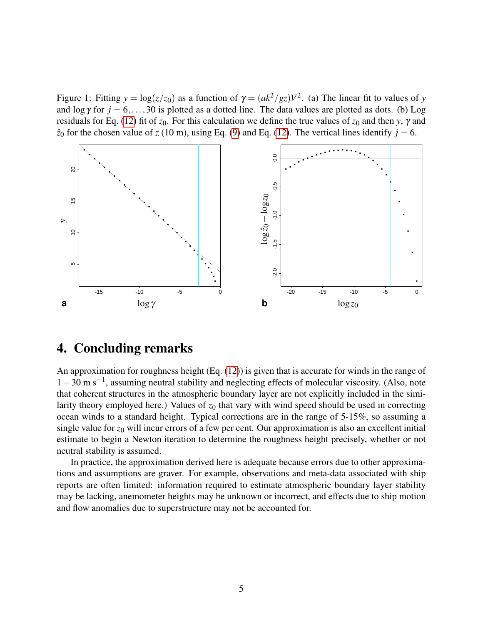<span id="page-4-0"></span>Figure 1: Fitting  $y = \log(z/z_0)$  as a function of  $\gamma = (ak^2/gz)V^2$ . (a) The linear fit to values of *y* and  $\log \gamma$  for  $j = 6, \ldots, 30$  is plotted as a dotted line. The data values are plotted as dots. (b) Log residuals for Eq. [\(12\)](#page-3-0) fit of *z*0. For this calculation we define the true values of *z*<sup>0</sup> and then *y*, γ and  $\hat{z}_0$  for the chosen value of *z* (10 m), using Eq. [\(9\)](#page-3-2) and Eq. [\(12\)](#page-3-0). The vertical lines identify  $j = 6$ .



## 4. Concluding remarks

An approximation for roughness height (Eq. [\(12\)](#page-3-0)) is given that is accurate for winds in the range of 1−30 m s−<sup>1</sup> , assuming neutral stability and neglecting effects of molecular viscosity. (Also, note that coherent structures in the atmospheric boundary layer are not explicitly included in the similarity theory employed here.) Values of  $z_0$  that vary with wind speed should be used in correcting ocean winds to a standard height. Typical corrections are in the range of 5-15%, so assuming a single value for  $z_0$  will incur errors of a few per cent. Our approximation is also an excellent initial estimate to begin a Newton iteration to determine the roughness height precisely, whether or not neutral stability is assumed.

In practice, the approximation derived here is adequate because errors due to other approximations and assumptions are graver. For example, observations and meta-data associated with ship reports are often limited: information required to estimate atmospheric boundary layer stability may be lacking, anemometer heights may be unknown or incorrect, and effects due to ship motion and flow anomalies due to superstructure may not be accounted for.